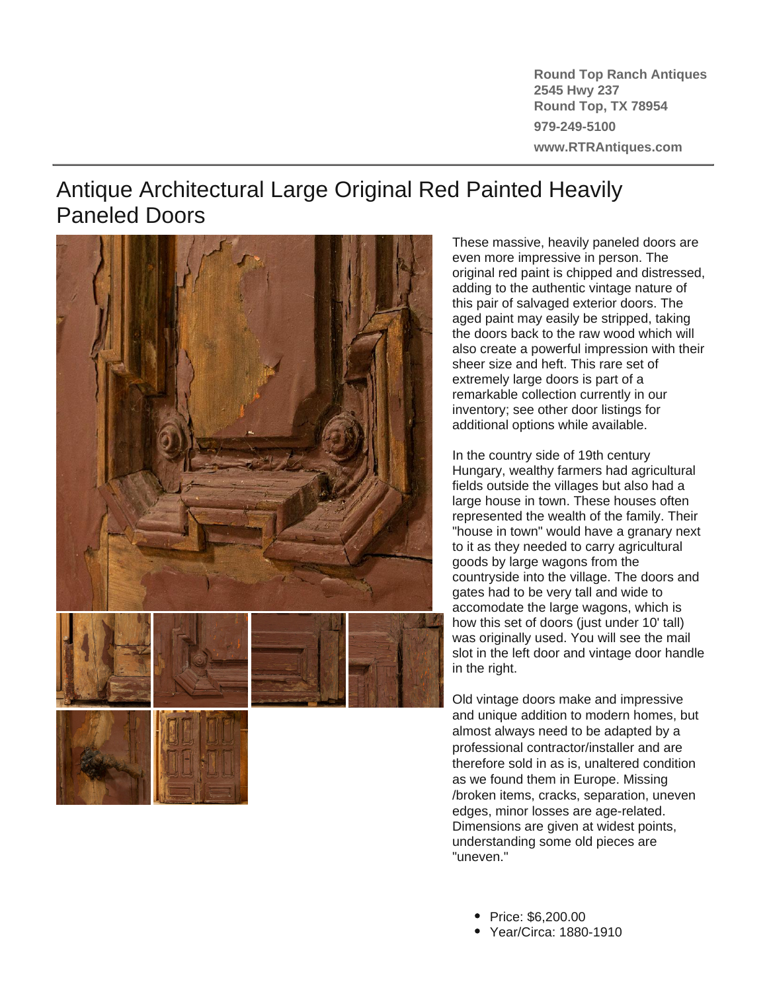**Round Top Ranch Antiques 2545 Hwy 237 Round Top, TX 78954 979-249-5100 www.RTRAntiques.com**

## Antique Architectural Large Original Red Painted Heavily Paneled Doors



These massive, heavily paneled doors are even more impressive in person. The original red paint is chipped and distressed, adding to the authentic vintage nature of this pair of salvaged exterior doors. The aged paint may easily be stripped, taking the doors back to the raw wood which will also create a powerful impression with their sheer size and heft. This rare set of extremely large doors is part of a remarkable collection currently in our inventory; see other door listings for additional options while available.

In the country side of 19th century Hungary, wealthy farmers had agricultural fields outside the villages but also had a large house in town. These houses often represented the wealth of the family. Their "house in town" would have a granary next to it as they needed to carry agricultural goods by large wagons from the countryside into the village. The doors and gates had to be very tall and wide to accomodate the large wagons, which is how this set of doors (just under 10' tall) was originally used. You will see the mail slot in the left door and vintage door handle in the right.

Old vintage doors make and impressive and unique addition to modern homes, but almost always need to be adapted by a professional contractor/installer and are therefore sold in as is, unaltered condition as we found them in Europe. Missing /broken items, cracks, separation, uneven edges, minor losses are age-related. Dimensions are given at widest points, understanding some old pieces are "uneven."

- Price: \$6,200.00
- Year/Circa: 1880-1910